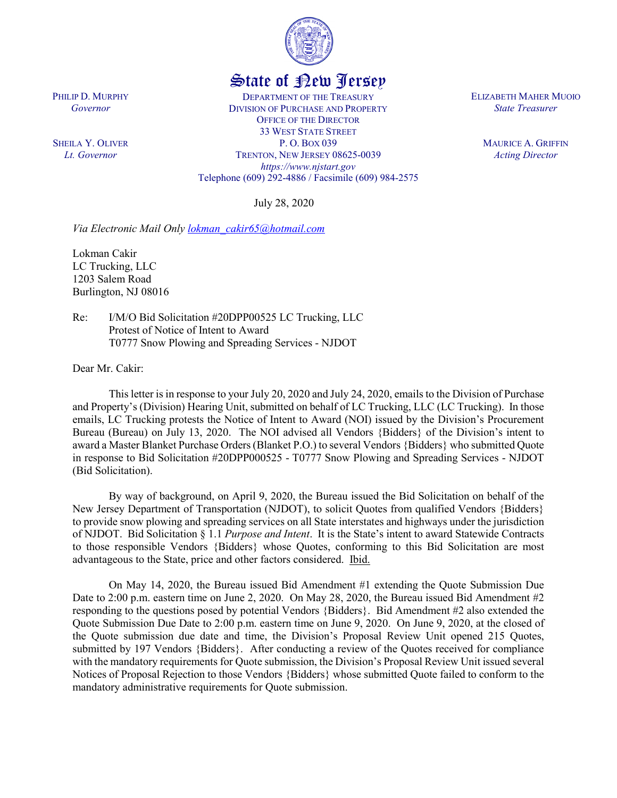

## State of New Jersey

DEPARTMENT OF THE TREASURY DIVISION OF PURCHASE AND PROPERTY OFFICE OF THE DIRECTOR 33 WEST STATE STREET P. O. BOX 039 TRENTON, NEW JERSEY 08625-0039 *https://www.njstart.gov* Telephone (609) 292-4886 / Facsimile (609) 984-2575

July 28, 2020

*Via Electronic Mail Only [lokman\\_cakir65@hotmail.com](mailto:lokman_cakir65@hotmail.com)*

Lokman Cakir LC Trucking, LLC 1203 Salem Road Burlington, NJ 08016

PHILIP D. MURPHY *Governor*

SHEILA Y. OLIVER *Lt. Governor*

> Re: I/M/O Bid Solicitation #20DPP00525 LC Trucking, LLC Protest of Notice of Intent to Award T0777 Snow Plowing and Spreading Services - NJDOT

Dear Mr. Cakir:

This letter is in response to your July 20, 2020 and July 24, 2020, emails to the Division of Purchase and Property's (Division) Hearing Unit, submitted on behalf of LC Trucking, LLC (LC Trucking). In those emails, LC Trucking protests the Notice of Intent to Award (NOI) issued by the Division's Procurement Bureau (Bureau) on July 13, 2020. The NOI advised all Vendors {Bidders} of the Division's intent to award a Master Blanket Purchase Orders(Blanket P.O.) to several Vendors {Bidders} who submitted Quote in response to Bid Solicitation #20DPP000525 - T0777 Snow Plowing and Spreading Services - NJDOT (Bid Solicitation).

By way of background, on April 9, 2020, the Bureau issued the Bid Solicitation on behalf of the New Jersey Department of Transportation (NJDOT), to solicit Quotes from qualified Vendors {Bidders} to provide snow plowing and spreading services on all State interstates and highways under the jurisdiction of NJDOT. Bid Solicitation § 1.1 *Purpose and Intent*. It is the State's intent to award Statewide Contracts to those responsible Vendors {Bidders} whose Quotes, conforming to this Bid Solicitation are most advantageous to the State, price and other factors considered. Ibid.

On May 14, 2020, the Bureau issued Bid Amendment #1 extending the Quote Submission Due Date to 2:00 p.m. eastern time on June 2, 2020. On May 28, 2020, the Bureau issued Bid Amendment #2 responding to the questions posed by potential Vendors {Bidders}. Bid Amendment #2 also extended the Quote Submission Due Date to 2:00 p.m. eastern time on June 9, 2020. On June 9, 2020, at the closed of the Quote submission due date and time, the Division's Proposal Review Unit opened 215 Quotes, submitted by 197 Vendors {Bidders}. After conducting a review of the Quotes received for compliance with the mandatory requirements for Quote submission, the Division's Proposal Review Unit issued several Notices of Proposal Rejection to those Vendors {Bidders} whose submitted Quote failed to conform to the mandatory administrative requirements for Quote submission.

ELIZABETH MAHER MUOIO *State Treasurer*

> MAURICE A. GRIFFIN *Acting Director*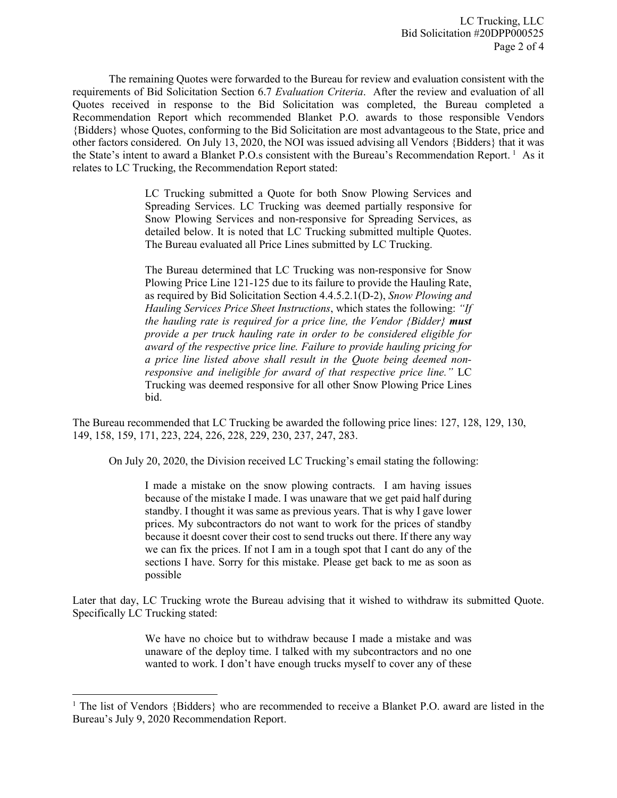The remaining Quotes were forwarded to the Bureau for review and evaluation consistent with the requirements of Bid Solicitation Section 6.7 *Evaluation Criteria*. After the review and evaluation of all Quotes received in response to the Bid Solicitation was completed, the Bureau completed a Recommendation Report which recommended Blanket P.O. awards to those responsible Vendors {Bidders} whose Quotes, conforming to the Bid Solicitation are most advantageous to the State, price and other factors considered. On July 13, 2020, the NOI was issued advising all Vendors {Bidders} that it was the State's intent to award a Blanket P.O.s consistent with the Bureau's Recommendation Report.<sup>[1](#page-1-0)</sup> As it relates to LC Trucking, the Recommendation Report stated:

> LC Trucking submitted a Quote for both Snow Plowing Services and Spreading Services. LC Trucking was deemed partially responsive for Snow Plowing Services and non-responsive for Spreading Services, as detailed below. It is noted that LC Trucking submitted multiple Quotes. The Bureau evaluated all Price Lines submitted by LC Trucking.

> The Bureau determined that LC Trucking was non-responsive for Snow Plowing Price Line 121-125 due to its failure to provide the Hauling Rate, as required by Bid Solicitation Section 4.4.5.2.1(D-2), *Snow Plowing and Hauling Services Price Sheet Instructions*, which states the following: *"If the hauling rate is required for a price line, the Vendor {Bidder} must provide a per truck hauling rate in order to be considered eligible for award of the respective price line. Failure to provide hauling pricing for a price line listed above shall result in the Quote being deemed nonresponsive and ineligible for award of that respective price line."* LC Trucking was deemed responsive for all other Snow Plowing Price Lines bid.

The Bureau recommended that LC Trucking be awarded the following price lines: 127, 128, 129, 130, 149, 158, 159, 171, 223, 224, 226, 228, 229, 230, 237, 247, 283.

On July 20, 2020, the Division received LC Trucking's email stating the following:

I made a mistake on the snow plowing contracts. I am having issues because of the mistake I made. I was unaware that we get paid half during standby. I thought it was same as previous years. That is why I gave lower prices. My subcontractors do not want to work for the prices of standby because it doesnt cover their cost to send trucks out there. If there any way we can fix the prices. If not I am in a tough spot that I cant do any of the sections I have. Sorry for this mistake. Please get back to me as soon as possible

Later that day, LC Trucking wrote the Bureau advising that it wished to withdraw its submitted Quote. Specifically LC Trucking stated:

> We have no choice but to withdraw because I made a mistake and was unaware of the deploy time. I talked with my subcontractors and no one wanted to work. I don't have enough trucks myself to cover any of these

l

<span id="page-1-0"></span><sup>&</sup>lt;sup>1</sup> The list of Vendors {Bidders} who are recommended to receive a Blanket P.O. award are listed in the Bureau's July 9, 2020 Recommendation Report.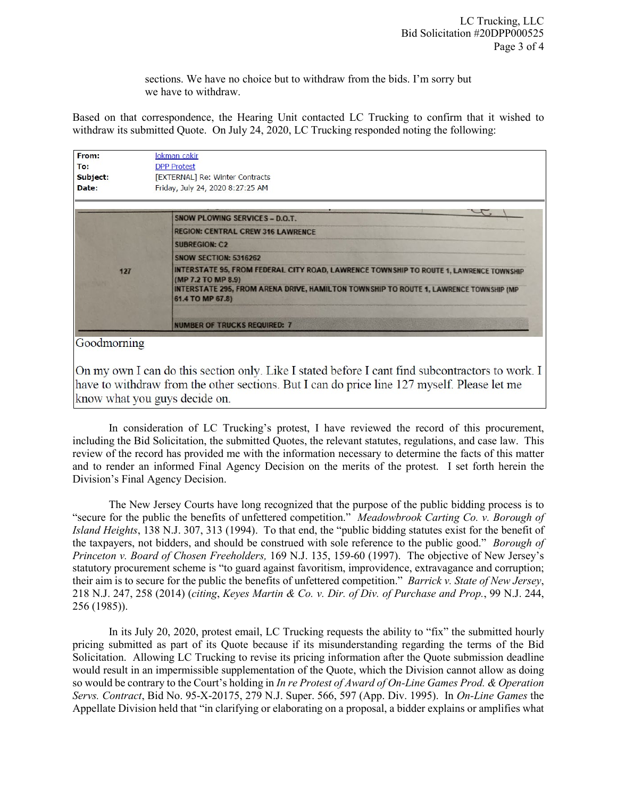sections. We have no choice but to withdraw from the bids. I'm sorry but we have to withdraw.

Based on that correspondence, the Hearing Unit contacted LC Trucking to confirm that it wished to withdraw its submitted Quote. On July 24, 2020, LC Trucking responded noting the following:

| From:    | lokman cakir                                                                                                 |
|----------|--------------------------------------------------------------------------------------------------------------|
| To:      | <b>DPP Protest</b>                                                                                           |
| Subject: | [EXTERNAL] Re: Winter Contracts                                                                              |
| Date:    | Friday, July 24, 2020 8:27:25 AM                                                                             |
|          |                                                                                                              |
|          | SNOW PLOWING SERVICES - D.O.T.                                                                               |
| 127      | <b>REGION: CENTRAL CREW 316 LAWRENCE</b>                                                                     |
|          | <b>SUBREGION: C2</b>                                                                                         |
|          | <b>SNOW SECTION: 5316262</b>                                                                                 |
|          | INTERSTATE 95, FROM FEDERAL CITY ROAD, LAWRENCE TOWNSHIP TO ROUTE 1, LAWRENCE TOWNSHIP<br>(MP 7.2 TO MP 8.9) |
|          | INTERSTATE 295, FROM ARENA DRIVE, HAMILTON TOWNSHIP TO ROUTE 1, LAWRENCE TOWNSHIP (MP<br>61.4 TO MP 67.8)    |
|          | <b>NUMBER OF TRUCKS REQUIRED: 7</b>                                                                          |

On my own I can do this section only. Like I stated before I cant find subcontractors to work. I have to withdraw from the other sections. But I can do price line 127 myself. Please let me know what you guys decide on.

In consideration of LC Trucking's protest, I have reviewed the record of this procurement, including the Bid Solicitation, the submitted Quotes, the relevant statutes, regulations, and case law. This review of the record has provided me with the information necessary to determine the facts of this matter and to render an informed Final Agency Decision on the merits of the protest. I set forth herein the Division's Final Agency Decision.

The New Jersey Courts have long recognized that the purpose of the public bidding process is to "secure for the public the benefits of unfettered competition." *Meadowbrook Carting Co. v. Borough of Island Heights*, 138 N.J. 307, 313 (1994). To that end, the "public bidding statutes exist for the benefit of the taxpayers, not bidders, and should be construed with sole reference to the public good." *Borough of Princeton v. Board of Chosen Freeholders,* 169 N.J. 135, 159-60 (1997). The objective of New Jersey's statutory procurement scheme is "to guard against favoritism, improvidence, extravagance and corruption; their aim is to secure for the public the benefits of unfettered competition." *Barrick v. State of New Jersey*, 218 N.J. 247, 258 (2014) (*citing*, *Keyes Martin & Co. v. Dir. of Div. of Purchase and Prop.*, 99 N.J. 244, 256 (1985)).

In its July 20, 2020, protest email, LC Trucking requests the ability to "fix" the submitted hourly pricing submitted as part of its Quote because if its misunderstanding regarding the terms of the Bid Solicitation. Allowing LC Trucking to revise its pricing information after the Quote submission deadline would result in an impermissible supplementation of the Quote, which the Division cannot allow as doing so would be contrary to the Court's holding in *In re Protest of Award of On-Line Games Prod. & Operation Servs. Contract*, Bid No. 95-X-20175, 279 N.J. Super. 566, 597 (App. Div. 1995). In *On-Line Games* the Appellate Division held that "in clarifying or elaborating on a proposal, a bidder explains or amplifies what